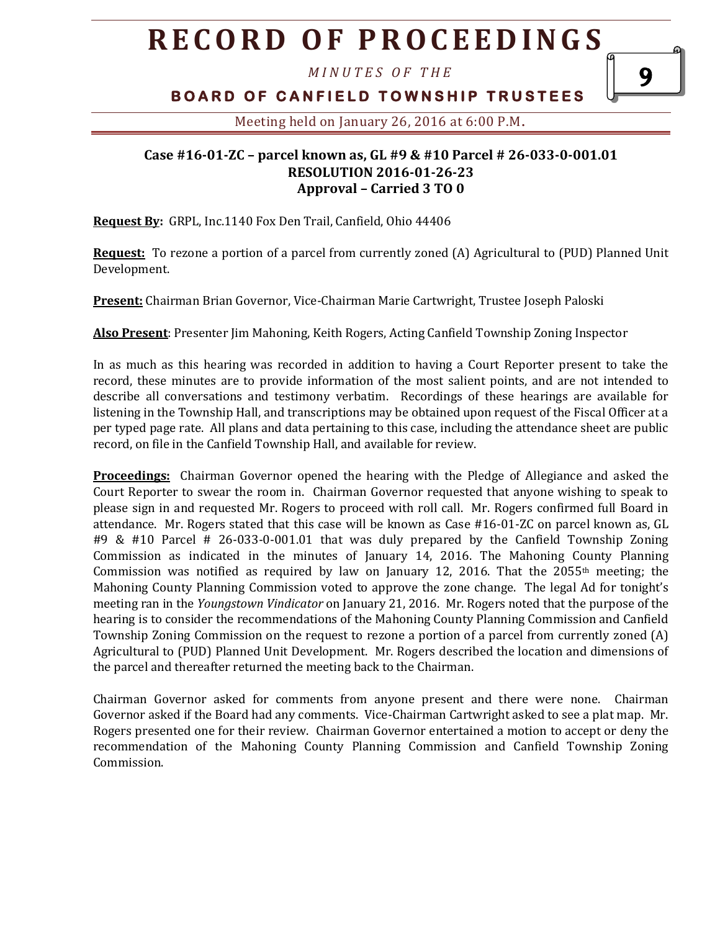# **R E C O R D O F P R O C E E D I N GS**

*M I N U T E S O F T H E* 

### **B O A R D O F C A N F I E L D T O W N S H I P T R U S T E E S**

9

Meeting held on January 26, 2016 at 6:00 P.M**.**

#### **Case #16-01-ZC – parcel known as, GL #9 & #10 Parcel # 26-033-0-001.01 RESOLUTION 2016-01-26-23 Approval – Carried 3 TO 0**

**Request By:** GRPL, Inc.1140 Fox Den Trail, Canfield, Ohio 44406

**Request:** To rezone a portion of a parcel from currently zoned (A) Agricultural to (PUD) Planned Unit Development.

**Present:** Chairman Brian Governor, Vice-Chairman Marie Cartwright, Trustee Joseph Paloski

**Also Present**: Presenter Jim Mahoning, Keith Rogers, Acting Canfield Township Zoning Inspector

In as much as this hearing was recorded in addition to having a Court Reporter present to take the record, these minutes are to provide information of the most salient points, and are not intended to describe all conversations and testimony verbatim. Recordings of these hearings are available for listening in the Township Hall, and transcriptions may be obtained upon request of the Fiscal Officer at a per typed page rate. All plans and data pertaining to this case, including the attendance sheet are public record, on file in the Canfield Township Hall, and available for review.

**Proceedings:** Chairman Governor opened the hearing with the Pledge of Allegiance and asked the Court Reporter to swear the room in. Chairman Governor requested that anyone wishing to speak to please sign in and requested Mr. Rogers to proceed with roll call. Mr. Rogers confirmed full Board in attendance. Mr. Rogers stated that this case will be known as Case #16-01-ZC on parcel known as, GL #9 & #10 Parcel # 26-033-0-001.01 that was duly prepared by the Canfield Township Zoning Commission as indicated in the minutes of January 14, 2016. The Mahoning County Planning Commission was notified as required by law on January 12, 2016. That the  $2055<sup>th</sup>$  meeting; the Mahoning County Planning Commission voted to approve the zone change. The legal Ad for tonight's meeting ran in the *Youngstown Vindicator* on January 21, 2016. Mr. Rogers noted that the purpose of the hearing is to consider the recommendations of the Mahoning County Planning Commission and Canfield Township Zoning Commission on the request to rezone a portion of a parcel from currently zoned (A) Agricultural to (PUD) Planned Unit Development. Mr. Rogers described the location and dimensions of the parcel and thereafter returned the meeting back to the Chairman.

Chairman Governor asked for comments from anyone present and there were none. Chairman Governor asked if the Board had any comments. Vice-Chairman Cartwright asked to see a plat map. Mr. Rogers presented one for their review. Chairman Governor entertained a motion to accept or deny the recommendation of the Mahoning County Planning Commission and Canfield Township Zoning Commission.